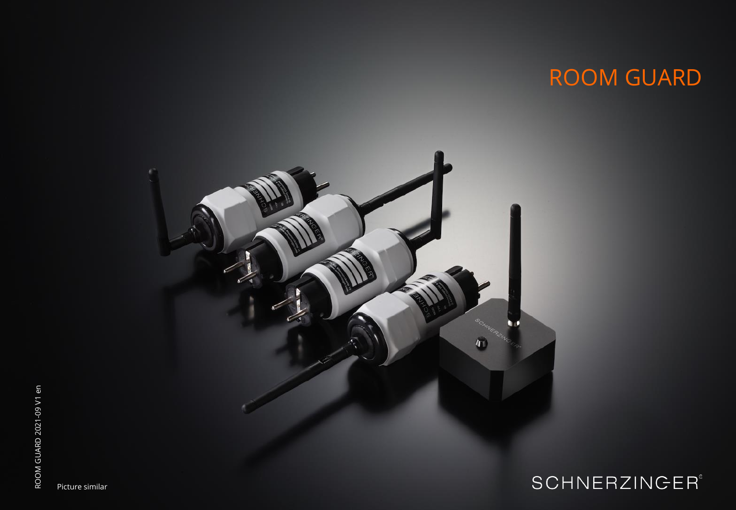# ROOM GUARD



## **SCHNERZINGER®**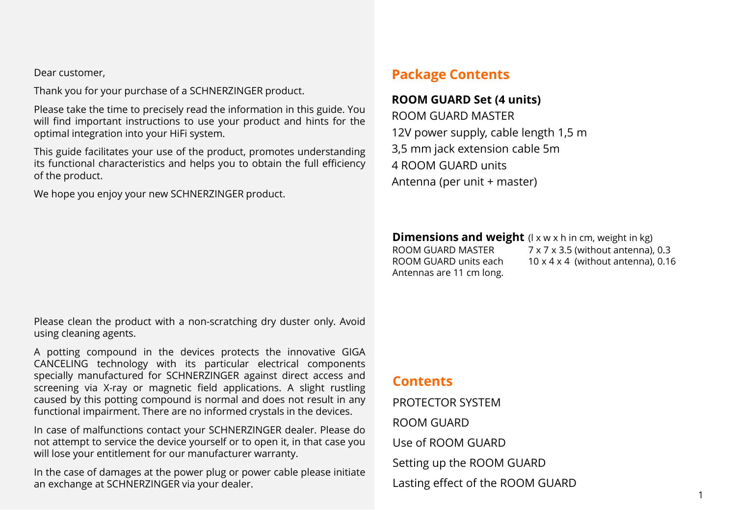Dear customer,

Thank you for your purchase of a SCHNERZINGER product.

Please take the time to precisely read the information in this guide. You will find important instructions to use your product and hints for the optimal integration into your HiFi system.

This guide facilitates your use of the product, promotes understanding its functional characteristics and helps you to obtain the full efficiency of the product.

We hope you enjoy your new SCHNERZINGER product.

## **Package Contents**

#### **ROOM GUARD Set (4 units)**

ROOM GUARD MASTER 12V power supply, cable length 1,5 m 3,5 mm jack extension cable 5m 4 ROOM GUARD units Antenna (per unit + master)

**Dimensions and weight** (l x w x h in cm, weight in kg) ROOM GUARD MASTER 7 x 7 x 3.5 (without antenna), 0.3 ROOM GUARD units each  $10 \times 4 \times 4$  (without antenna), 0.16 Antennas are 11 cm long.

#### Please clean the product with a non-scratching dry duster only. Avoid using cleaning agents.

A potting compound in the devices protects the innovative GIGA CANCELING technology with its particular electrical components specially manufactured for SCHNERZINGER against direct access and screening via X-ray or magnetic field applications. A slight rustling caused by this potting compound is normal and does not result in any functional impairment. There are no informed crystals in the devices.

In case of malfunctions contact your SCHNERZINGER dealer. Please do not attempt to service the device yourself or to open it, in that case you will lose your entitlement for our manufacturer warranty.

In the case of damages at the power plug or power cable please initiate an exchange at SCHNERZINGER via your dealer.

#### **Contents**

PROTECTOR SYSTEM ROOM GUARD Use of ROOM GUARD Setting up the ROOM GUARD Lasting effect of the ROOM GUARD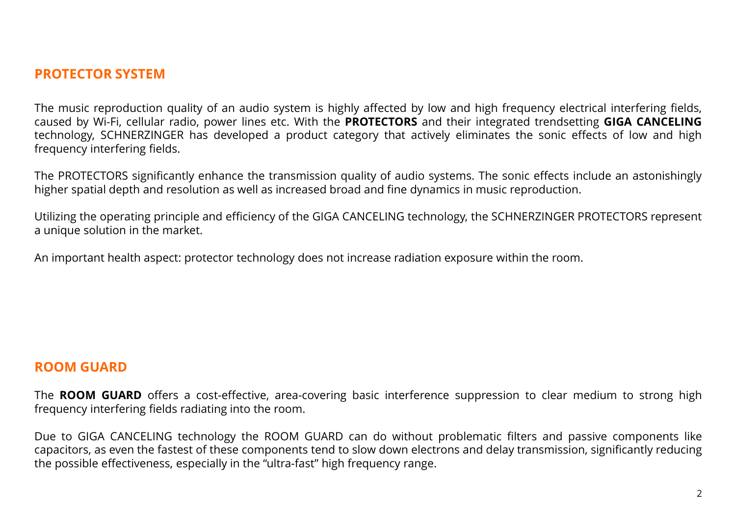#### **PROTECTOR SYSTEM**

The music reproduction quality of an audio system is highly affected by low and high frequency electrical interfering fields, caused by Wi-Fi, cellular radio, power lines etc. With the **PROTECTORS** and their integrated trendsetting **GIGA CANCELING** technology, SCHNERZINGER has developed a product category that actively eliminates the sonic effects of low and high frequency interfering fields.

The PROTECTORS significantly enhance the transmission quality of audio systems. The sonic effects include an astonishingly higher spatial depth and resolution as well as increased broad and fine dynamics in music reproduction.

Utilizing the operating principle and efficiency of the GIGA CANCELING technology, the SCHNERZINGER PROTECTORS represent a unique solution in the market.

An important health aspect: protector technology does not increase radiation exposure within the room.

#### **ROOM GUARD**

The **ROOM GUARD** offers a cost-effective, area-covering basic interference suppression to clear medium to strong high frequency interfering fields radiating into the room.

Due to GIGA CANCELING technology the ROOM GUARD can do without problematic filters and passive components like capacitors, as even the fastest of these components tend to slow down electrons and delay transmission, significantly reducing the possible effectiveness, especially in the "ultra-fast" high frequency range.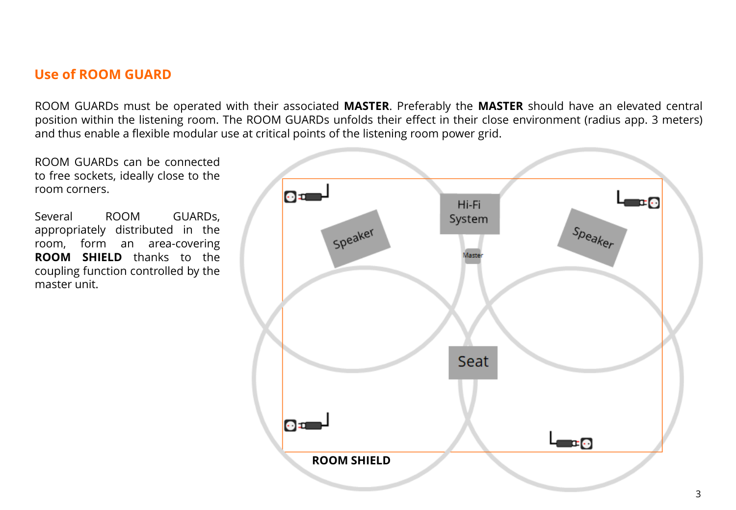## **Use of ROOM GUARD**

ROOM GUARDs must be operated with their associated **MASTER**. Preferably the **MASTER** should have an elevated central position within the listening room. The ROOM GUARDs unfolds their effect in their close environment (radius app. 3 meters) and thus enable a flexible modular use at critical points of the listening room power grid.

ROOM GUARDs can be connected to free sockets, ideally close to the room corners.

Several ROOM GUARDs, appropriately distributed in the room, form an area-covering **ROOM SHIELD** thanks to the coupling function controlled by the master unit.

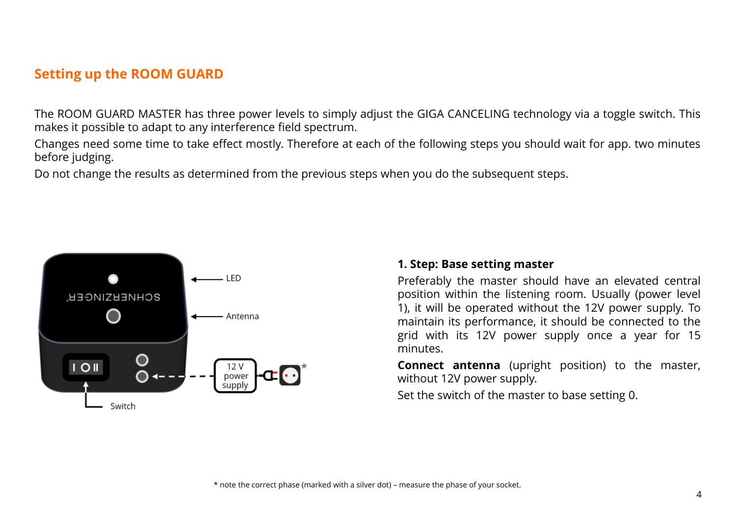## **Setting up the ROOM GUARD**

The ROOM GUARD MASTER has three power levels to simply adjust the GIGA CANCELING technology via a toggle switch. This makes it possible to adapt to any interference field spectrum.

Changes need some time to take effect mostly. Therefore at each of the following steps you should wait for app. two minutes before judging.

Do not change the results as determined from the previous steps when you do the subsequent steps.



#### **1. Step: Base setting master**

Preferably the master should have an elevated central position within the listening room. Usually (power level 1), it will be operated without the 12V power supply. To maintain its performance, it should be connected to the grid with its 12V power supply once a year for 15 minutes.

**Connect antenna** (upright position) to the master, without 12V power supply.

Set the switch of the master to base setting 0.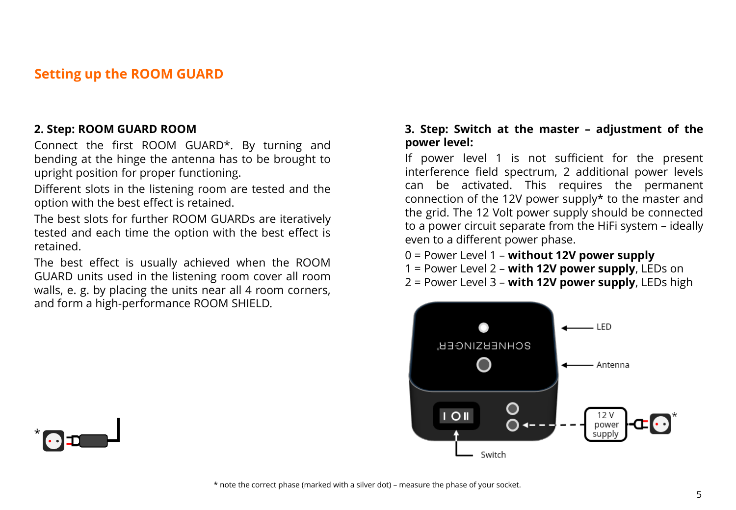## **Setting up the ROOM GUARD**

#### **2. Step: ROOM GUARD ROOM**

Connect the first ROOM GUARD\*. By turning and bending at the hinge the antenna has to be brought to upright position for proper functioning.

Different slots in the listening room are tested and the option with the best effect is retained.

The best slots for further ROOM GUARDs are iteratively tested and each time the option with the best effect is retained.

The best effect is usually achieved when the ROOM GUARD units used in the listening room cover all room walls, e. g. by placing the units near all 4 room corners, and form a high-performance ROOM SHIELD.

#### **3. Step: Switch at the master – adjustment of the power level:**

If power level 1 is not sufficient for the present interference field spectrum, 2 additional power levels can be activated. This requires the permanent connection of the 12V power supply\* to the master and the grid. The 12 Volt power supply should be connected to a power circuit separate from the HiFi system – ideally even to a different power phase.

- 0 = Power Level 1 **without 12V power supply**
- 1 = Power Level 2 **with 12V power supply**, LEDs on
- 2 = Power Level 3 **with 12V power supply**, LEDs high